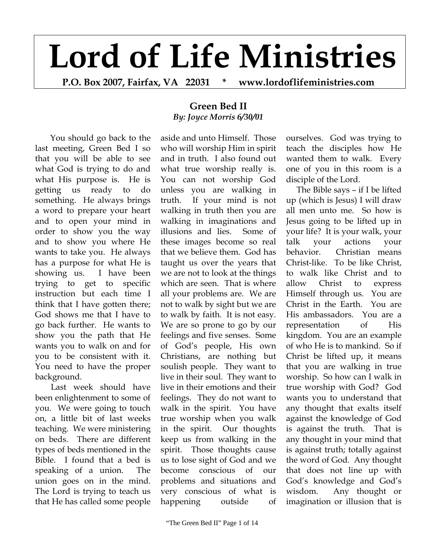## **Lord of Life Ministries**

**P.O. Box 2007, Fairfax, VA 22031 \* www.lordoflifeministries.com** 

## **Green Bed II**  *By: Joyce Morris 6/30/01*

You should go back to the last meeting, Green Bed I so that you will be able to see what God is trying to do and what His purpose is. He is getting us ready to do something. He always brings a word to prepare your heart and to open your mind in order to show you the way and to show you where He wants to take you. He always has a purpose for what He is showing us. I have been trying to get to specific instruction but each time I think that I have gotten there; God shows me that I have to go back further. He wants to show you the path that He wants you to walk on and for you to be consistent with it. You need to have the proper background.

Last week should have been enlightenment to some of you. We were going to touch on, a little bit of last weeks teaching. We were ministering on beds. There are different types of beds mentioned in the Bible. I found that a bed is speaking of a union. The union goes on in the mind. The Lord is trying to teach us that He has called some people aside and unto Himself. Those who will worship Him in spirit and in truth. I also found out what true worship really is. You can not worship God unless you are walking in truth. If your mind is not walking in truth then you are walking in imaginations and illusions and lies. Some of these images become so real that we believe them. God has taught us over the years that we are not to look at the things which are seen. That is where all your problems are. We are not to walk by sight but we are to walk by faith. It is not easy. We are so prone to go by our feelings and five senses. Some of God's people, His own Christians, are nothing but soulish people. They want to live in their soul. They want to live in their emotions and their feelings. They do not want to walk in the spirit. You have true worship when you walk in the spirit. Our thoughts keep us from walking in the spirit. Those thoughts cause us to lose sight of God and we become conscious of our problems and situations and very conscious of what is happening outside of

ourselves. God was trying to teach the disciples how He wanted them to walk. Every one of you in this room is a disciple of the Lord.

 The Bible says – if I be lifted up (which is Jesus) I will draw all men unto me. So how is Jesus going to be lifted up in your life? It is your walk, your talk your actions your behavior. Christian means Christ-like. To be like Christ, to walk like Christ and to allow Christ to express Himself through us. You are Christ in the Earth. You are His ambassadors. You are a representation of His kingdom. You are an example of who He is to mankind. So if Christ be lifted up, it means that you are walking in true worship. So how can I walk in true worship with God? God wants you to understand that any thought that exalts itself against the knowledge of God is against the truth. That is any thought in your mind that is against truth; totally against the word of God. Any thought that does not line up with God's knowledge and God's wisdom. Any thought or imagination or illusion that is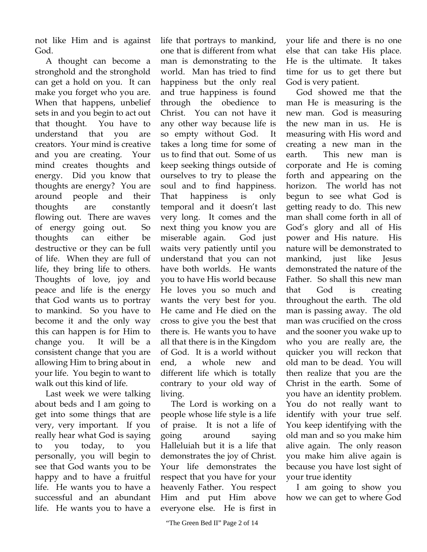not like Him and is against God.

 A thought can become a stronghold and the stronghold can get a hold on you. It can make you forget who you are. When that happens, unbelief sets in and you begin to act out that thought. You have to understand that you are creators. Your mind is creative and you are creating. Your mind creates thoughts and energy. Did you know that thoughts are energy? You are around people and their thoughts are constantly flowing out. There are waves of energy going out. So thoughts can either be destructive or they can be full of life. When they are full of life, they bring life to others. Thoughts of love, joy and peace and life is the energy that God wants us to portray to mankind. So you have to become it and the only way this can happen is for Him to change you. It will be a consistent change that you are allowing Him to bring about in your life. You begin to want to walk out this kind of life.

 Last week we were talking about beds and I am going to get into some things that are very, very important. If you really hear what God is saying to you today, to you personally, you will begin to see that God wants you to be happy and to have a fruitful life. He wants you to have a successful and an abundant life. He wants you to have a

life that portrays to mankind, one that is different from what man is demonstrating to the world. Man has tried to find happiness but the only real and true happiness is found through the obedience to Christ. You can not have it any other way because life is so empty without God. It takes a long time for some of us to find that out. Some of us keep seeking things outside of ourselves to try to please the soul and to find happiness. That happiness is only temporal and it doesn't last very long. It comes and the next thing you know you are miserable again. God just waits very patiently until you understand that you can not have both worlds. He wants you to have His world because He loves you so much and wants the very best for you. He came and He died on the cross to give you the best that there is. He wants you to have all that there is in the Kingdom of God. It is a world without end, a whole new and different life which is totally contrary to your old way of living.

 The Lord is working on a people whose life style is a life of praise. It is not a life of going around saying Halleluiah but it is a life that demonstrates the joy of Christ. Your life demonstrates the respect that you have for your heavenly Father. You respect Him and put Him above everyone else. He is first in

your life and there is no one else that can take His place. He is the ultimate. It takes time for us to get there but God is very patient.

 God showed me that the man He is measuring is the new man. God is measuring the new man in us. He is measuring with His word and creating a new man in the earth. This new man is corporate and He is coming forth and appearing on the horizon. The world has not begun to see what God is getting ready to do. This new man shall come forth in all of God's glory and all of His power and His nature. His nature will be demonstrated to mankind, just like Jesus demonstrated the nature of the Father. So shall this new man that God is creating throughout the earth. The old man is passing away. The old man was crucified on the cross and the sooner you wake up to who you are really are, the quicker you will reckon that old man to be dead. You will then realize that you are the Christ in the earth. Some of you have an identity problem. You do not really want to identify with your true self. You keep identifying with the old man and so you make him alive again. The only reason you make him alive again is because you have lost sight of your true identity

 I am going to show you how we can get to where God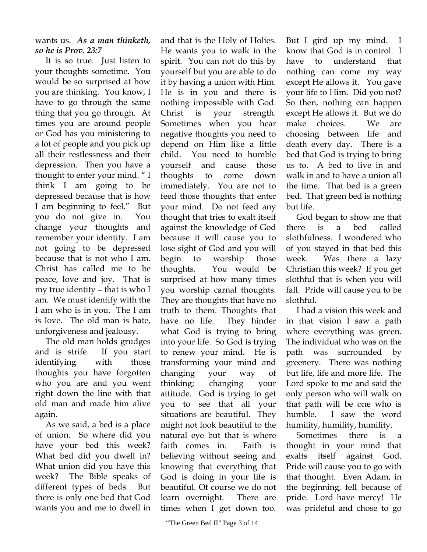## wants us. *As a man thinketh, so he is Prov. 23:7*

 It is so true. Just listen to your thoughts sometime. You would be so surprised at how you are thinking. You know, I have to go through the same thing that you go through. At times you are around people or God has you ministering to a lot of people and you pick up all their restlessness and their depression. Then you have a thought to enter your mind. " I think I am going to be depressed because that is how I am beginning to feel." But you do not give in. You change your thoughts and remember your identity. I am not going to be depressed because that is not who I am. Christ has called me to be peace, love and joy. That is my true identity – that is who I am. We must identify with the I am who is in you. The I am is love. The old man is hate, unforgiveness and jealousy.

 The old man holds grudges and is strife. If you start identifying with those thoughts you have forgotten who you are and you went right down the line with that old man and made him alive again.

 As we said, a bed is a place of union. So where did you have your bed this week? What bed did you dwell in? What union did you have this week? The Bible speaks of different types of beds. But there is only one bed that God wants you and me to dwell in

and that is the Holy of Holies. He wants you to walk in the spirit. You can not do this by yourself but you are able to do it by having a union with Him. He is in you and there is nothing impossible with God. Christ is your strength. Sometimes when you hear negative thoughts you need to depend on Him like a little child. You need to humble yourself and cause those thoughts to come down immediately. You are not to feed those thoughts that enter your mind. Do not feed any thought that tries to exalt itself against the knowledge of God because it will cause you to lose sight of God and you will begin to worship those thoughts. You would be surprised at how many times you worship carnal thoughts. They are thoughts that have no truth to them. Thoughts that have no life. They hinder what God is trying to bring into your life. So God is trying to renew your mind. He is transforming your mind and changing your way of thinking; changing your attitude. God is trying to get you to see that all your situations are beautiful. They might not look beautiful to the natural eye but that is where faith comes in. Faith is believing without seeing and knowing that everything that God is doing in your life is beautiful. Of course we do not learn overnight. There are times when I get down too.

But I gird up my mind. I know that God is in control. I have to understand that nothing can come my way except He allows it. You gave your life to Him. Did you not? So then, nothing can happen except He allows it. But we do make choices. We are choosing between life and death every day. There is a bed that God is trying to bring us to. A bed to live in and walk in and to have a union all the time. That bed is a green bed. That green bed is nothing but life.

 God began to show me that there is a bed called slothfulness. I wondered who of you stayed in that bed this week. Was there a lazy Christian this week? If you get slothful that is when you will fall. Pride will cause you to be slothful.

 I had a vision this week and in that vision I saw a path where everything was green. The individual who was on the path was surrounded by greenery. There was nothing but life, life and more life. The Lord spoke to me and said the only person who will walk on that path will be one who is humble. I saw the word humility, humility, humility.

 Sometimes there is a thought in your mind that exalts itself against God. Pride will cause you to go with that thought. Even Adam, in the beginning, fell because of pride. Lord have mercy! He was prideful and chose to go

<sup>&</sup>quot;The Green Bed II" Page 3 of 14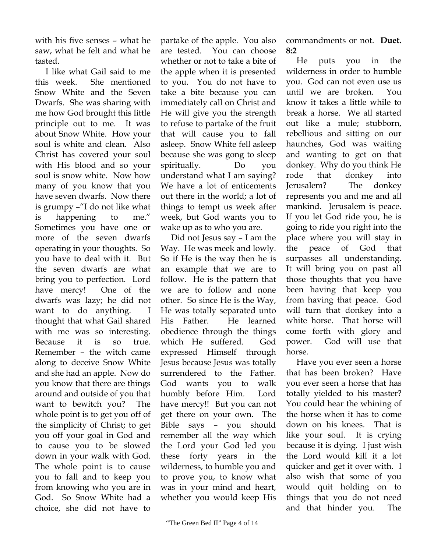with his five senses – what he saw, what he felt and what he tasted.

 I like what Gail said to me this week. She mentioned Snow White and the Seven Dwarfs. She was sharing with me how God brought this little principle out to me. It was about Snow White. How your soul is white and clean. Also Christ has covered your soul with His blood and so your soul is snow white. Now how many of you know that you have seven dwarfs. Now there is grumpy –"I do not like what is happening to me." Sometimes you have one or more of the seven dwarfs operating in your thoughts. So you have to deal with it. But the seven dwarfs are what bring you to perfection. Lord have mercy! One of the dwarfs was lazy; he did not want to do anything. I thought that what Gail shared with me was so interesting. Because it is so true. Remember – the witch came along to deceive Snow White and she had an apple. Now do you know that there are things around and outside of you that want to bewitch you? The whole point is to get you off of the simplicity of Christ; to get you off your goal in God and to cause you to be slowed down in your walk with God. The whole point is to cause you to fall and to keep you from knowing who you are in God. So Snow White had a choice, she did not have to

partake of the apple. You also are tested. You can choose whether or not to take a bite of the apple when it is presented to you. You do not have to take a bite because you can immediately call on Christ and He will give you the strength to refuse to partake of the fruit that will cause you to fall asleep. Snow White fell asleep because she was gong to sleep spiritually. Do you understand what I am saying? We have a lot of enticements out there in the world; a lot of things to tempt us week after week, but God wants you to wake up as to who you are.

 Did not Jesus say – I am the Way. He was meek and lowly. So if He is the way then he is an example that we are to follow. He is the pattern that we are to follow and none other. So since He is the Way, He was totally separated unto His Father. He learned obedience through the things which He suffered. God expressed Himself through Jesus because Jesus was totally surrendered to the Father. God wants you to walk humbly before Him. Lord have mercy!! But you can not get there on your own. The Bible says – you should remember all the way which the Lord your God led you these forty years in the wilderness, to humble you and to prove you, to know what was in your mind and heart, whether you would keep His

 He puts you in the wilderness in order to humble you. God can not even use us until we are broken. You know it takes a little while to break a horse. We all started out like a mule; stubborn, rebellious and sitting on our haunches, God was waiting and wanting to get on that donkey. Why do you think He rode that donkey into Jerusalem? The donkey represents you and me and all mankind. Jerusalem is peace. If you let God ride you, he is going to ride you right into the place where you will stay in the peace of God that surpasses all understanding. It will bring you on past all those thoughts that you have been having that keep you from having that peace. God will turn that donkey into a white horse. That horse will come forth with glory and power. God will use that horse.

 Have you ever seen a horse that has been broken? Have you ever seen a horse that has totally yielded to his master? You could hear the whining of the horse when it has to come down on his knees. That is like your soul. It is crying because it is dying. I just wish the Lord would kill it a lot quicker and get it over with. I also wish that some of you would quit holding on to things that you do not need and that hinder you. The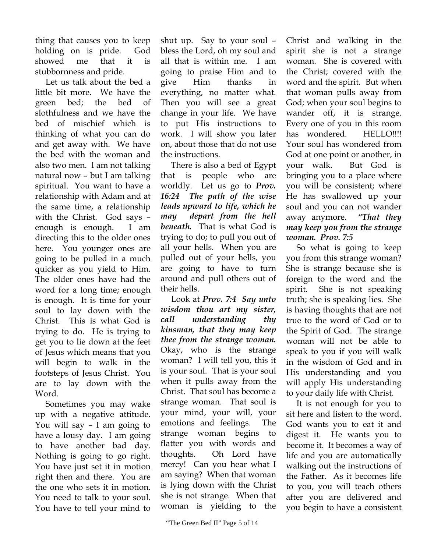thing that causes you to keep holding on is pride. God showed me that it is stubbornness and pride.

 Let us talk about the bed a little bit more. We have the green bed; the bed of slothfulness and we have the bed of mischief which is thinking of what you can do and get away with. We have the bed with the woman and also two men. I am not talking natural now – but I am talking spiritual. You want to have a relationship with Adam and at the same time, a relationship with the Christ. God says – enough is enough. I am directing this to the older ones here. You younger ones are going to be pulled in a much quicker as you yield to Him. The older ones have had the word for a long time; enough is enough. It is time for your soul to lay down with the Christ. This is what God is trying to do. He is trying to get you to lie down at the feet of Jesus which means that you will begin to walk in the footsteps of Jesus Christ. You are to lay down with the Word.

 Sometimes you may wake up with a negative attitude. You will say – I am going to have a lousy day. I am going to have another bad day. Nothing is going to go right. You have just set it in motion right then and there. You are the one who sets it in motion. You need to talk to your soul. You have to tell your mind to

shut up. Say to your soul – bless the Lord, oh my soul and all that is within me. I am going to praise Him and to give Him thanks in everything, no matter what. Then you will see a great change in your life. We have to put His instructions to work. I will show you later on, about those that do not use the instructions.

 There is also a bed of Egypt that is people who are worldly. Let us go to *Prov. 16:24 The path of the wise leads upward to life, which he may depart from the hell beneath.* That is what God is trying to do; to pull you out of all your hells. When you are pulled out of your hells, you are going to have to turn around and pull others out of their hells.

 Look at *Prov. 7:4 Say unto wisdom thou art my sister, call understanding thy kinsman, that they may keep thee from the strange woman.*  Okay, who is the strange woman? I will tell you, this it is your soul. That is your soul when it pulls away from the Christ. That soul has become a strange woman. That soul is your mind, your will, your emotions and feelings. The strange woman begins to flatter you with words and thoughts. Oh Lord have mercy! Can you hear what I am saying? When that woman is lying down with the Christ she is not strange. When that woman is yielding to the

Christ and walking in the spirit she is not a strange woman. She is covered with the Christ; covered with the word and the spirit. But when that woman pulls away from God; when your soul begins to wander off, it is strange. Every one of you in this room has wondered. HELLO!!!! Your soul has wondered from God at one point or another, in your walk. But God is bringing you to a place where you will be consistent; where He has swallowed up your soul and you can not wander away anymore. *"That they may keep you from the strange woman. Prov. 7:5* 

 So what is going to keep you from this strange woman? She is strange because she is foreign to the word and the spirit. She is not speaking truth; she is speaking lies. She is having thoughts that are not true to the word of God or to the Spirit of God. The strange woman will not be able to speak to you if you will walk in the wisdom of God and in His understanding and you will apply His understanding to your daily life with Christ.

 It is not enough for you to sit here and listen to the word. God wants you to eat it and digest it. He wants you to become it. It becomes a way of life and you are automatically walking out the instructions of the Father. As it becomes life to you, you will teach others after you are delivered and you begin to have a consistent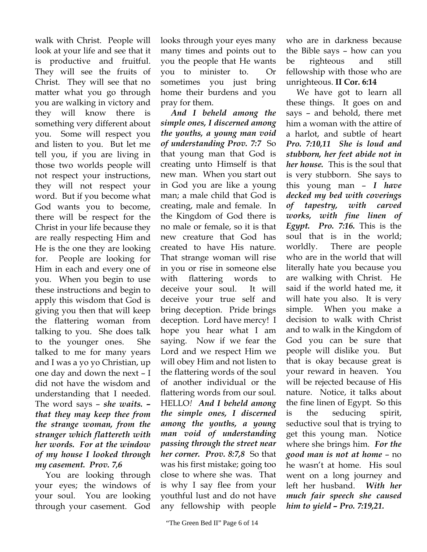walk with Christ. People will look at your life and see that it is productive and fruitful. They will see the fruits of Christ. They will see that no matter what you go through you are walking in victory and they will know there is something very different about you. Some will respect you and listen to you. But let me tell you, if you are living in those two worlds people will not respect your instructions, they will not respect your word. But if you become what God wants you to become, there will be respect for the Christ in your life because they are really respecting Him and He is the one they are looking for. People are looking for Him in each and every one of you. When you begin to use these instructions and begin to apply this wisdom that God is giving you then that will keep the flattering woman from talking to you. She does talk to the younger ones. She talked to me for many years and I was a yo yo Christian, up one day and down the next – I did not have the wisdom and understanding that I needed. The word says – *she waits. – that they may keep thee from the strange woman, from the stranger which flattereth with her words. For at the window of my house I looked through my casement. Prov. 7,6* 

 You are looking through your eyes; the windows of your soul. You are looking through your casement. God

looks through your eyes many many times and points out to you the people that He wants you to minister to. Or sometimes you just bring home their burdens and you pray for them.

 *And I beheld among the simple ones, I discerned among the youths, a young man void of understanding Prov. 7:7* So that young man that God is creating unto Himself is that new man. When you start out in God you are like a young man; a male child that God is creating, male and female. In the Kingdom of God there is no male or female, so it is that new creature that God has created to have His nature. That strange woman will rise in you or rise in someone else with flattering words to deceive your soul. It will deceive your true self and bring deception. Pride brings deception. Lord have mercy! I hope you hear what I am saying. Now if we fear the Lord and we respect Him we will obey Him and not listen to the flattering words of the soul of another individual or the flattering words from our soul. HELLO*! And I beheld among the simple ones, I discerned among the youths, a young man void of understanding passing through the street near her corner. Prov. 8:7,8* So that was his first mistake; going too close to where she was. That is why I say flee from your youthful lust and do not have any fellowship with people

who are in darkness because the Bible says – how can you be righteous and still fellowship with those who are unrighteous. **II Cor. 6:14** 

 We have got to learn all these things. It goes on and says – and behold, there met him a woman with the attire of a harlot, and subtle of heart *Pro. 7:10,11 She is loud and stubborn, her feet abide not in her house.* This is the soul that is very stubborn. She says to this young man – *I have decked my bed with coverings of tapestry, with carved works, with fine linen of Egypt. Pro. 7:16.* This is the soul that is in the world; worldly. There are people who are in the world that will literally hate you because you are walking with Christ. He said if the world hated me, it will hate you also. It is very simple. When you make a decision to walk with Christ and to walk in the Kingdom of God you can be sure that people will dislike you. But that is okay because great is your reward in heaven. You will be rejected because of His nature. Notice, it talks about the fine linen of Egypt. So this is the seducing spirit, seductive soul that is trying to get this young man. Notice where she brings him. *For the good man is not at home* – no he wasn't at home. His soul went on a long journey and left her husband. *With her much fair speech she caused him to yield – Pro. 7:19,21.*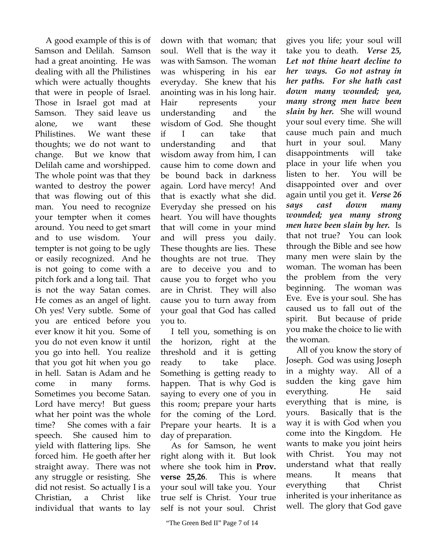A good example of this is of Samson and Delilah. Samson had a great anointing. He was dealing with all the Philistines which were actually thoughts that were in people of Israel. Those in Israel got mad at Samson. They said leave us alone, we want these Philistines. We want these thoughts; we do not want to change. But we know that Delilah came and worshipped. The whole point was that they wanted to destroy the power that was flowing out of this man. You need to recognize your tempter when it comes around. You need to get smart and to use wisdom. Your tempter is not going to be ugly or easily recognized. And he is not going to come with a pitch fork and a long tail. That is not the way Satan comes. He comes as an angel of light. Oh yes! Very subtle. Some of you are enticed before you ever know it hit you. Some of you do not even know it until you go into hell. You realize that you got hit when you go in hell. Satan is Adam and he come in many forms. Sometimes you become Satan. Lord have mercy! But guess what her point was the whole time? She comes with a fair speech. She caused him to yield with flattering lips. She forced him. He goeth after her straight away. There was not any struggle or resisting. She did not resist. So actually I is a Christian, a Christ like individual that wants to lay

down with that woman; that soul. Well that is the way it was with Samson. The woman was whispering in his ear everyday. She knew that his anointing was in his long hair. Hair represents your understanding and the wisdom of God. She thought if I can take that understanding and that wisdom away from him, I can cause him to come down and be bound back in darkness again. Lord have mercy! And that is exactly what she did. Everyday she pressed on his heart. You will have thoughts that will come in your mind and will press you daily. These thoughts are lies. These thoughts are not true. They are to deceive you and to cause you to forget who you are in Christ. They will also cause you to turn away from your goal that God has called you to.

 I tell you, something is on the horizon, right at the threshold and it is getting ready to take place. Something is getting ready to happen. That is why God is saying to every one of you in this room; prepare your harts for the coming of the Lord. Prepare your hearts. It is a day of preparation.

 As for Samson, he went right along with it. But look where she took him in **Prov. verse 25,26**. This is where your soul will take you. Your true self is Christ. Your true self is not your soul. Christ

gives you life; your soul will take you to death. *Verse 25, Let not thine heart decline to her ways. Go not astray in her paths. For she hath cast down many wounded; yea, many strong men have been slain by her.* She will wound your soul every time. She will cause much pain and much hurt in your soul. Many disappointments will take place in your life when you listen to her. You will be disappointed over and over again until you get it. *Verse 26 says cast down many wounded; yea many strong men have been slain by her.* Is that not true? You can look through the Bible and see how many men were slain by the woman. The woman has been the problem from the very beginning. The woman was Eve. Eve is your soul. She has caused us to fall out of the spirit. But because of pride you make the choice to lie with the woman.

 All of you know the story of Joseph. God was using Joseph in a mighty way. All of a sudden the king gave him everything. He said everything that is mine, is yours. Basically that is the way it is with God when you come into the Kingdom. He wants to make you joint heirs with Christ. You may not understand what that really means. It means that everything that Christ inherited is your inheritance as well. The glory that God gave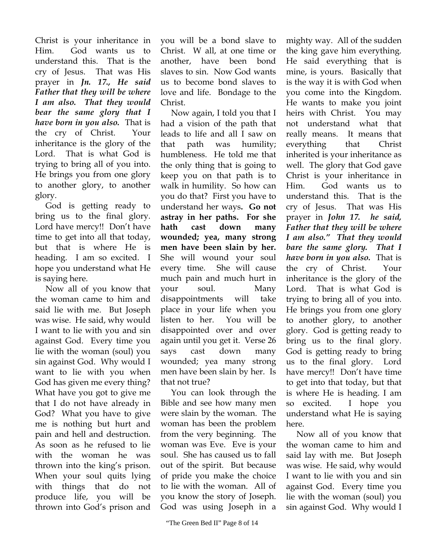Christ is your inheritance in Him. God wants us to understand this. That is the cry of Jesus. That was His prayer in *Jn. 17., He said Father that they will be where I am also. That they would bear the same glory that I have born in you also.* That is the cry of Christ. Your inheritance is the glory of the Lord. That is what God is trying to bring all of you into. He brings you from one glory to another glory, to another glory.

 God is getting ready to bring us to the final glory. Lord have mercy!! Don't have time to get into all that today, but that is where He is heading. I am so excited. I hope you understand what He is saying here.

 Now all of you know that the woman came to him and said lie with me. But Joseph was wise. He said, why would I want to lie with you and sin against God. Every time you lie with the woman (soul) you sin against God. Why would I want to lie with you when God has given me every thing? What have you got to give me that I do not have already in God? What you have to give me is nothing but hurt and pain and hell and destruction. As soon as he refused to lie with the woman he was thrown into the king's prison. When your soul quits lying with things that do not produce life, you will be thrown into God's prison and

you will be a bond slave to Christ. W all, at one time or another, have been bond slaves to sin. Now God wants us to become bond slaves to love and life. Bondage to the Christ.

 Now again, I told you that I had a vision of the path that leads to life and all I saw on that path was humility; humbleness. He told me that the only thing that is going to keep you on that path is to walk in humility. So how can you do that? First you have to understand her ways**. Go not astray in her paths. For she hath cast down many wounded; yea, many strong men have been slain by her.** She will wound your soul every time. She will cause much pain and much hurt in your soul. Many disappointments will take place in your life when you listen to her. You will be disappointed over and over again until you get it. Verse 26 says cast down many wounded; yea many strong men have been slain by her. Is that not true?

 You can look through the Bible and see how many men were slain by the woman. The woman has been the problem from the very beginning. The woman was Eve. Eve is your soul. She has caused us to fall out of the spirit. But because of pride you make the choice to lie with the woman. All of you know the story of Joseph. God was using Joseph in a

mighty way. All of the sudden the king gave him everything. He said everything that is mine, is yours. Basically that is the way it is with God when you come into the Kingdom. He wants to make you joint heirs with Christ. You may not understand what that really means. It means that everything that Christ inherited is your inheritance as well. The glory that God gave Christ is your inheritance in Him. God wants us to understand this. That is the cry of Jesus. That was His prayer in *John 17. he said, Father that they will be where I am also." That they would bare the same glory. That I have born in you also.* That is the cry of Christ. Your inheritance is the glory of the Lord. That is what God is trying to bring all of you into. He brings you from one glory to another glory, to another glory. God is getting ready to bring us to the final glory. God is getting ready to bring us to the final glory. Lord have mercy!! Don't have time to get into that today, but that is where He is heading. I am so excited. I hope you understand what He is saying here.

 Now all of you know that the woman came to him and said lay with me. But Joseph was wise. He said, why would I want to lie with you and sin against God. Every time you lie with the woman (soul) you sin against God. Why would I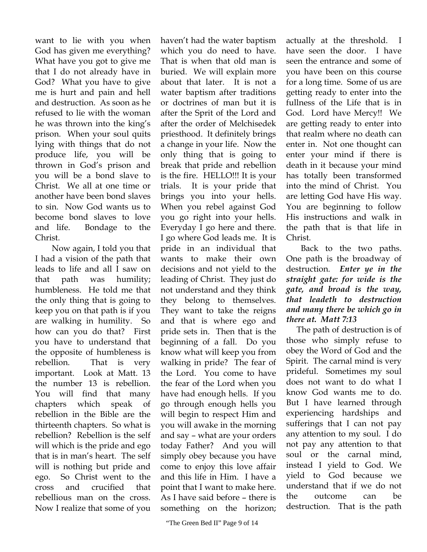want to lie with you when God has given me everything? What have you got to give me that I do not already have in God? What you have to give me is hurt and pain and hell and destruction. As soon as he refused to lie with the woman he was thrown into the king's prison. When your soul quits lying with things that do not produce life, you will be thrown in God's prison and you will be a bond slave to Christ. We all at one time or another have been bond slaves to sin. Now God wants us to become bond slaves to love and life. Bondage to the Christ.

 Now again, I told you that I had a vision of the path that leads to life and all I saw on that path was humility; humbleness. He told me that the only thing that is going to keep you on that path is if you are walking in humility. So how can you do that? First you have to understand that the opposite of humbleness is rebellion. That is very important. Look at Matt. 13 the number 13 is rebellion. You will find that many chapters which speak of rebellion in the Bible are the thirteenth chapters. So what is rebellion? Rebellion is the self will which is the pride and ego that is in man's heart. The self will is nothing but pride and ego. So Christ went to the cross and crucified that rebellious man on the cross. Now I realize that some of you

haven't had the water baptism which you do need to have. That is when that old man is buried. We will explain more about that later. It is not a water baptism after traditions or doctrines of man but it is after the Sprit of the Lord and after the order of Melchisedek priesthood. It definitely brings a change in your life. Now the only thing that is going to break that pride and rebellion is the fire. HELLO!!! It is your trials. It is your pride that brings you into your hells. When you rebel against God you go right into your hells. Everyday I go here and there. I go where God leads me. It is pride in an individual that wants to make their own decisions and not yield to the leading of Christ. They just do not understand and they think they belong to themselves. They want to take the reigns and that is where ego and pride sets in. Then that is the beginning of a fall. Do you know what will keep you from walking in pride? The fear of the Lord. You come to have the fear of the Lord when you have had enough hells. If you go through enough hells you will begin to respect Him and you will awake in the morning and say – what are your orders today Father? And you will simply obey because you have come to enjoy this love affair and this life in Him. I have a point that I want to make here. As I have said before – there is something on the horizon;

actually at the threshold. I have seen the door. I have seen the entrance and some of you have been on this course for a long time. Some of us are getting ready to enter into the fullness of the Life that is in God. Lord have Mercy!! We are getting ready to enter into that realm where no death can enter in. Not one thought can enter your mind if there is death in it because your mind has totally been transformed into the mind of Christ. You are letting God have His way. You are beginning to follow His instructions and walk in the path that is that life in Christ.

 Back to the two paths. One path is the broadway of destruction. *Enter ye in the straight gate: for wide is the gate, and broad is the way, that leadeth to destruction and many there be which go in there at. Matt 7:13* 

 The path of destruction is of those who simply refuse to obey the Word of God and the Spirit. The carnal mind is very prideful. Sometimes my soul does not want to do what I know God wants me to do. But I have learned through experiencing hardships and sufferings that I can not pay any attention to my soul. I do not pay any attention to that soul or the carnal mind, instead I yield to God. We yield to God because we understand that if we do not the outcome can be destruction. That is the path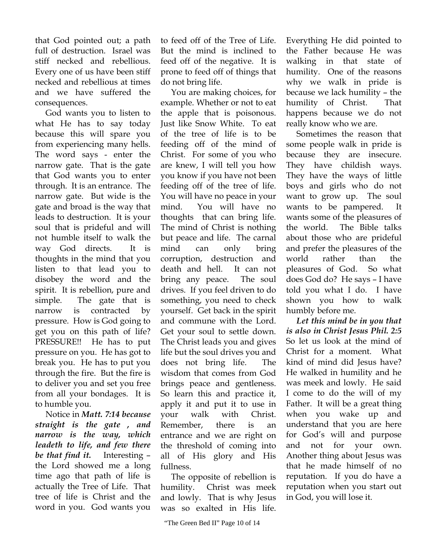that God pointed out; a path full of destruction. Israel was stiff necked and rebellious. Every one of us have been stiff necked and rebellious at times and we have suffered the consequences.

 God wants you to listen to what He has to say today because this will spare you from experiencing many hells. The word says - enter the narrow gate. That is the gate that God wants you to enter through. It is an entrance. The narrow gate. But wide is the gate and broad is the way that leads to destruction. It is your soul that is prideful and will not humble itself to walk the way God directs. It is thoughts in the mind that you listen to that lead you to disobey the word and the spirit. It is rebellion, pure and simple. The gate that is narrow is contracted by pressure. How is God going to get you on this path of life? PRESSURE!! He has to put pressure on you. He has got to break you. He has to put you through the fire. But the fire is to deliver you and set you free from all your bondages. It is to humble you.

 Notice in *Matt. 7:14 because straight is the gate , and narrow is the way, which leadeth to life, and few there be that find it.* Interesting – the Lord showed me a long time ago that path of life is actually the Tree of Life. That tree of life is Christ and the word in you. God wants you

to feed off of the Tree of Life. But the mind is inclined to feed off of the negative. It is prone to feed off of things that do not bring life.

 You are making choices, for example. Whether or not to eat the apple that is poisonous. Just like Snow White. To eat of the tree of life is to be feeding off of the mind of Christ. For some of you who are knew, I will tell you how you know if you have not been feeding off of the tree of life. You will have no peace in your mind. You will have no thoughts that can bring life. The mind of Christ is nothing but peace and life. The carnal mind can only bring corruption, destruction and death and hell. It can not bring any peace. The soul drives. If you feel driven to do something, you need to check yourself. Get back in the spirit and commune with the Lord. Get your soul to settle down. The Christ leads you and gives life but the soul drives you and does not bring life. The wisdom that comes from God brings peace and gentleness. So learn this and practice it, apply it and put it to use in your walk with Christ. Remember, there is an entrance and we are right on the threshold of coming into all of His glory and His fullness.

 The opposite of rebellion is humility. Christ was meek and lowly. That is why Jesus was so exalted in His life.

Everything He did pointed to the Father because He was walking in that state of humility. One of the reasons why we walk in pride is because we lack humility – the humility of Christ. That happens because we do not really know who we are.

 Sometimes the reason that some people walk in pride is because they are insecure. They have childish ways. They have the ways of little boys and girls who do not want to grow up. The soul wants to be pampered. It wants some of the pleasures of the world. The Bible talks about those who are prideful and prefer the pleasures of the world rather than the pleasures of God. So what does God do? He says – I have told you what I do. I have shown you how to walk humbly before me.

 *Let this mind be in you that is also in Christ Jesus Phil. 2:5*  So let us look at the mind of Christ for a moment. What kind of mind did Jesus have? He walked in humility and he was meek and lowly. He said I come to do the will of my Father. It will be a great thing when you wake up and understand that you are here for God's will and purpose and not for your own. Another thing about Jesus was that he made himself of no reputation. If you do have a reputation when you start out in God, you will lose it.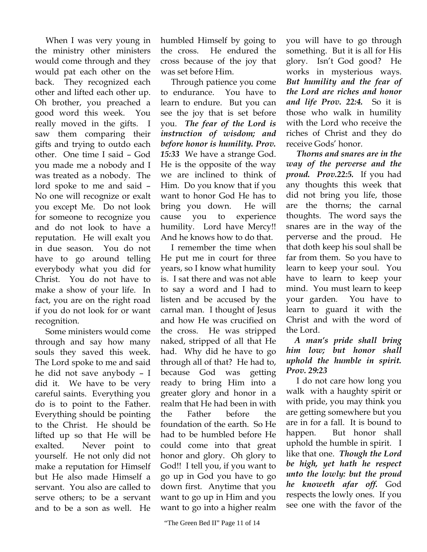When I was very young in the ministry other ministers would come through and they would pat each other on the back. They recognized each other and lifted each other up. Oh brother, you preached a good word this week. You really moved in the gifts. I saw them comparing their gifts and trying to outdo each other. One time I said – God you made me a nobody and I was treated as a nobody. The lord spoke to me and said – No one will recognize or exalt you except Me. Do not look for someone to recognize you and do not look to have a reputation. He will exalt you in due season. You do not have to go around telling everybody what you did for Christ. You do not have to make a show of your life. In fact, you are on the right road if you do not look for or want recognition.

 Some ministers would come through and say how many souls they saved this week. The Lord spoke to me and said he did not save anybody – I did it. We have to be very careful saints. Everything you do is to point to the Father. Everything should be pointing to the Christ. He should be lifted up so that He will be exalted. Never point to yourself. He not only did not make a reputation for Himself but He also made Himself a servant. You also are called to serve others; to be a servant and to be a son as well. He

humbled Himself by going to the cross. He endured the cross because of the joy that was set before Him.

 Through patience you come to endurance. You have to learn to endure. But you can see the joy that is set before you. *The fear of the Lord is instruction of wisdom; and before honor is humility. Prov. 15:33* We have a strange God. He is the opposite of the way we are inclined to think of Him. Do you know that if you want to honor God He has to bring you down. He will cause you to experience humility. Lord have Mercy!! And he knows how to do that.

 I remember the time when He put me in court for three years, so I know what humility is. I sat there and was not able to say a word and I had to listen and be accused by the carnal man. I thought of Jesus and how He was crucified on the cross. He was stripped naked, stripped of all that He had. Why did he have to go through all of that? He had to, because God was getting ready to bring Him into a greater glory and honor in a realm that He had been in with the Father before the foundation of the earth. So He had to be humbled before He could come into that great honor and glory. Oh glory to God!! I tell you, if you want to go up in God you have to go down first. Anytime that you want to go up in Him and you want to go into a higher realm you will have to go through something. But it is all for His glory. Isn't God good? He works in mysterious ways. *But humility and the fear of the Lord are riches and honor and life Prov. 22:4.* So it is those who walk in humility with the Lord who receive the riches of Christ and they do receive Gods' honor.

 *Thorns and snares are in the way of the perverse and the proud. Prov.22:5.* If you had any thoughts this week that did not bring you life, those are the thorns; the carnal thoughts. The word says the snares are in the way of the perverse and the proud. He that doth keep his soul shall be far from them. So you have to learn to keep your soul. You have to learn to keep your mind. You must learn to keep your garden. You have to learn to guard it with the Christ and with the word of the Lord.

## *A man's pride shall bring him low; but honor shall uphold the humble in spirit. Prov. 29:23*

 I do not care how long you walk with a haughty spirit or with pride, you may think you are getting somewhere but you are in for a fall. It is bound to happen. But honor shall uphold the humble in spirit. I like that one. *Though the Lord be high, yet hath he respect unto the lowly: but the proud he knoweth afar off.* God respects the lowly ones. If you see one with the favor of the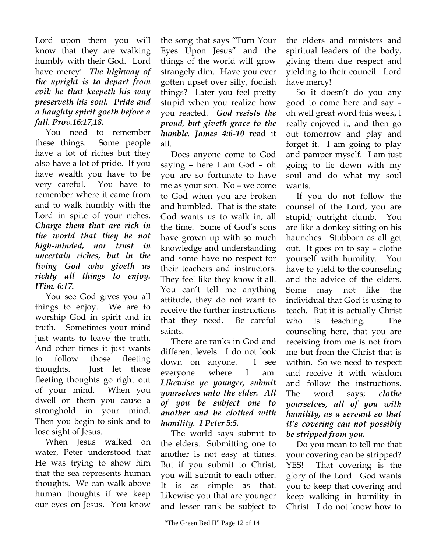Lord upon them you will know that they are walking humbly with their God. Lord have mercy! *The highway of the upright is to depart from evil: he that keepeth his way preserveth his soul. Pride and a haughty spirit goeth before a fall. Prov.16:17,18.* 

 You need to remember these things. Some people have a lot of riches but they also have a lot of pride. If you have wealth you have to be very careful. You have to remember where it came from and to walk humbly with the Lord in spite of your riches. *Charge them that are rich in the world that they be not high-minded, nor trust in uncertain riches, but in the living God who giveth us richly all things to enjoy. ITim. 6:17.* 

 You see God gives you all things to enjoy. We are to worship God in spirit and in truth. Sometimes your mind just wants to leave the truth. And other times it just wants to follow those fleeting thoughts. Just let those fleeting thoughts go right out of your mind. When you dwell on them you cause a stronghold in your mind. Then you begin to sink and to lose sight of Jesus.

 When Jesus walked on water, Peter understood that He was trying to show him that the sea represents human thoughts. We can walk above human thoughts if we keep our eyes on Jesus. You know

the song that says "Turn Your Eyes Upon Jesus" and the things of the world will grow strangely dim. Have you ever gotten upset over silly, foolish things? Later you feel pretty stupid when you realize how you reacted. *God resists the proud, but giveth grace to the humble. James 4:6-10* read it all.

 Does anyone come to God saying – here I am God – oh you are so fortunate to have me as your son. No – we come to God when you are broken and humbled. That is the state God wants us to walk in, all the time. Some of God's sons have grown up with so much knowledge and understanding and some have no respect for their teachers and instructors. They feel like they know it all. You can't tell me anything attitude, they do not want to receive the further instructions that they need. Be careful saints.

 There are ranks in God and different levels. I do not look down on anyone. I see everyone where I am. *Likewise ye younger, submit yourselves unto the elder. All of you be subject one to another and be clothed with humility. I Peter 5:5.* 

 The world says submit to the elders. Submitting one to another is not easy at times. But if you submit to Christ, you will submit to each other. It is as simple as that. Likewise you that are younger and lesser rank be subject to

the elders and ministers and spiritual leaders of the body, giving them due respect and yielding to their council. Lord have mercy!

 So it doesn't do you any good to come here and say – oh well great word this week, I really enjoyed it, and then go out tomorrow and play and forget it. I am going to play and pamper myself. I am just going to lie down with my soul and do what my soul wants.

 If you do not follow the counsel of the Lord, you are stupid; outright dumb. You are like a donkey sitting on his haunches. Stubborn as all get out. It goes on to say – clothe yourself with humility. You have to yield to the counseling and the advice of the elders. Some may not like the individual that God is using to teach. But it is actually Christ who is teaching. The counseling here, that you are receiving from me is not from me but from the Christ that is within. So we need to respect and receive it with wisdom and follow the instructions. The word says; *clothe yourselves, all of you with humility, as a servant so that it's covering can not possibly be stripped from you.* 

 Do you mean to tell me that your covering can be stripped? YES! That covering is the glory of the Lord. God wants you to keep that covering and keep walking in humility in Christ. I do not know how to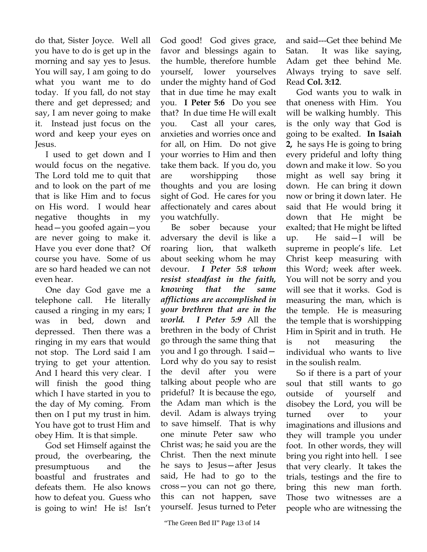do that, Sister Joyce. Well all you have to do is get up in the morning and say yes to Jesus. You will say, I am going to do what you want me to do today. If you fall, do not stay there and get depressed; and say, I am never going to make it. Instead just focus on the word and keep your eyes on Jesus.

 I used to get down and I would focus on the negative. The Lord told me to quit that and to look on the part of me that is like Him and to focus on His word. I would hear negative thoughts in my head—you goofed again—you are never going to make it. Have you ever done that? Of course you have. Some of us are so hard headed we can not even hear.

 One day God gave me a telephone call. He literally caused a ringing in my ears; I was in bed, down and depressed. Then there was a ringing in my ears that would not stop. The Lord said I am trying to get your attention. And I heard this very clear. I will finish the good thing which I have started in you to the day of My coming. From then on I put my trust in him. You have got to trust Him and obey Him. It is that simple.

 God set Himself against the proud, the overbearing, the presumptuous and the boastful and frustrates and defeats them. He also knows how to defeat you. Guess who is going to win! He is! Isn't God good! God gives grace, favor and blessings again to the humble, therefore humble yourself, lower yourselves under the mighty hand of God that in due time he may exalt you. **I Peter 5:6** Do you see that? In due time He will exalt you. Cast all your cares, anxieties and worries once and for all, on Him. Do not give your worries to Him and then take them back. If you do, you are worshipping those thoughts and you are losing sight of God. He cares for you affectionately and cares about you watchfully.

 Be sober because your adversary the devil is like a roaring lion, that walketh about seeking whom he may devour. *I Peter 5:8 whom resist steadfast in the faith, knowing that the same afflictions are accomplished in your brethren that are in the world. I Peter 5:9* All the brethren in the body of Christ go through the same thing that you and I go through. I said— Lord why do you say to resist the devil after you were talking about people who are prideful? It is because the ego, the Adam man which is the devil. Adam is always trying to save himself. That is why one minute Peter saw who Christ was; he said you are the Christ. Then the next minute he says to Jesus—after Jesus said, He had to go to the cross—you can not go there, this can not happen, save yourself. Jesus turned to Peter and said---Get thee behind Me Satan. It was like saying, Adam get thee behind Me. Always trying to save self. Read **Col. 3:12**.

 God wants you to walk in that oneness with Him. You will be walking humbly. This is the only way that God is going to be exalted. **In Isaiah 2,** he says He is going to bring every prideful and lofty thing down and make it low. So you might as well say bring it down. He can bring it down now or bring it down later. He said that He would bring it down that He might be exalted; that He might be lifted up. He said—I will be supreme in people's life. Let Christ keep measuring with this Word; week after week. You will not be sorry and you will see that it works. God is measuring the man, which is the temple. He is measuring the temple that is worshipping Him in Spirit and in truth. He is not measuring the individual who wants to live in the soulish realm.

 So if there is a part of your soul that still wants to go outside of yourself and disobey the Lord, you will be turned over to your imaginations and illusions and they will trample you under foot. In other words, they will bring you right into hell. I see that very clearly. It takes the trials, testings and the fire to bring this new man forth. Those two witnesses are a people who are witnessing the

<sup>&</sup>quot;The Green Bed II" Page 13 of 14